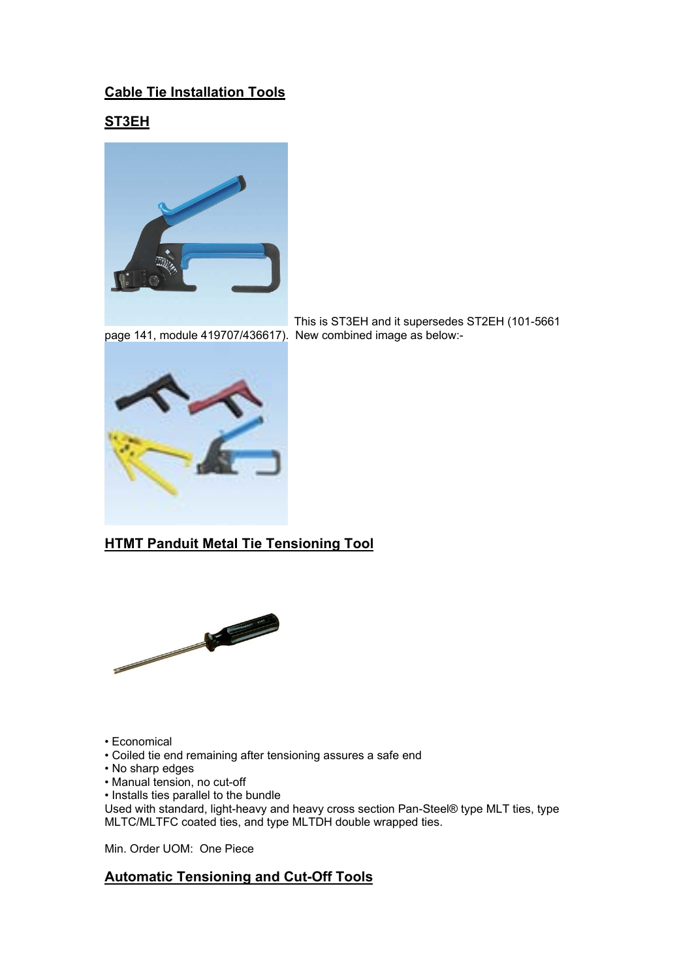# **Cable Tie Installation Tools**

## **ST3EH**



page 141, module 419707/436617). New combined image as below:-



# **HTMT Panduit Metal Tie Tensioning Tool**



• Economical

- Coiled tie end remaining after tensioning assures a safe end
- No sharp edges
- Manual tension, no cut-off
- Installs ties parallel to the bundle

Used with standard, light-heavy and heavy cross section Pan-Steel® type MLT ties, type MLTC/MLTFC coated ties, and type MLTDH double wrapped ties.

This is ST3EH and it supersedes ST2EH (101-5661

Min. Order UOM: One Piece

### **Automatic Tensioning and Cut-Off Tools**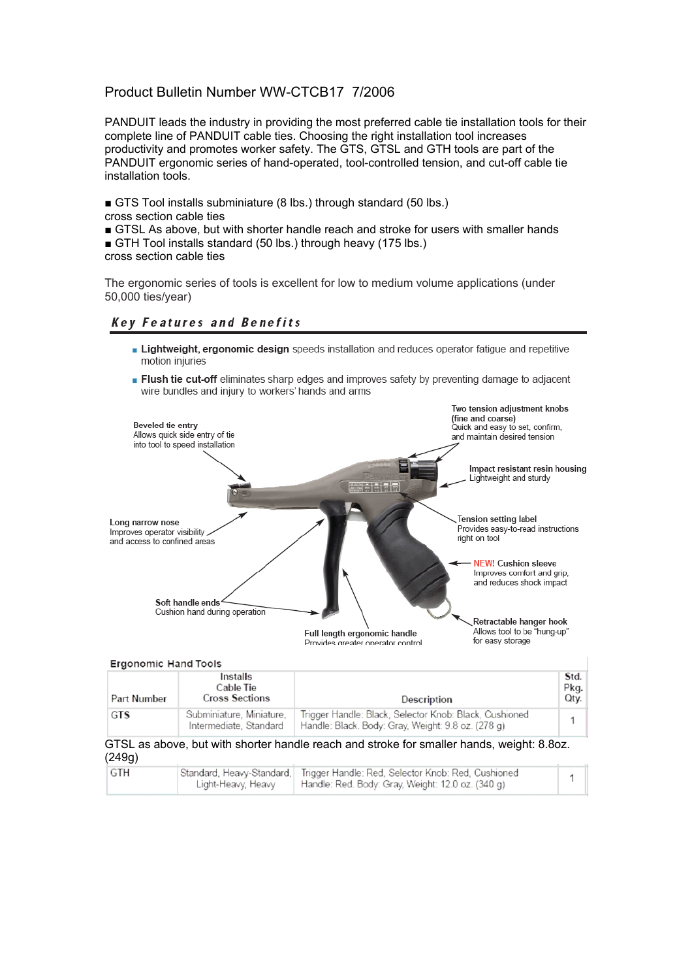### Product Bulletin Number WW-CTCB17 7/2006

PANDUIT leads the industry in providing the most preferred cable tie installation tools for their complete line of PANDUIT cable ties. Choosing the right installation tool increases productivity and promotes worker safety. The GTS, GTSL and GTH tools are part of the PANDUIT ergonomic series of hand-operated, tool-controlled tension, and cut-off cable tie installation tools.

■ GTS Tool installs subminiature (8 lbs.) through standard (50 lbs.)

cross section cable ties

■ GTSL As above, but with shorter handle reach and stroke for users with smaller hands

■ GTH Tool installs standard (50 lbs.) through heavy (175 lbs.)

cross section cable ties

The ergonomic series of tools is excellent for low to medium volume applications (under 50,000 ties/year)

#### **Key Features and Benefits**

**Lightweight, ergonomic design** speeds installation and reduces operator fatigue and repetitive motion injuries





| Part Number | installs<br>Cable Tie<br><b>Cross Sections</b>     | Description                                                                                                  | 3(a)<br>Pkg.<br>Qty. |
|-------------|----------------------------------------------------|--------------------------------------------------------------------------------------------------------------|----------------------|
| <b>GTS</b>  | Subminiature, Miniature,<br>Intermediate, Standard | Trigger Handle: Black, Selector Knob: Black, Cushioned<br>Handle: Black. Body: Gray, Weight: 9.8 oz. (278 g) |                      |

#### GTSL as above, but with shorter handle reach and stroke for smaller hands, weight: 8.8oz. (249g)

| ∣GTH |                    | Standard, Heavy-Standard,  Trigger Handle: Red, Selector Knob: Red, Cushioned |  |
|------|--------------------|-------------------------------------------------------------------------------|--|
|      | Light-Heavy, Heavy | Handle: Red. Body: Gray, Weight: 12.0 oz. (340 g) [                           |  |